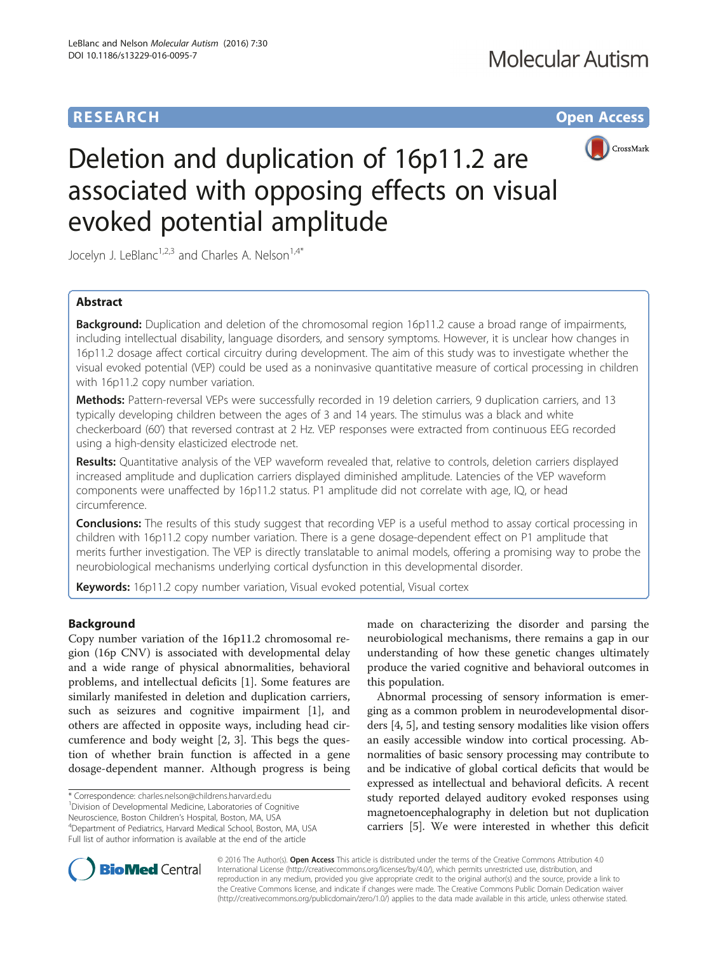## **RESEARCH CHE Open Access**



# Deletion and duplication of 16p11.2 are associated with opposing effects on visual evoked potential amplitude

Jocelyn J. LeBlanc<sup>1,2,3</sup> and Charles A. Nelson<sup>1,4\*</sup>

## Abstract

**Background:** Duplication and deletion of the chromosomal region 16p11.2 cause a broad range of impairments, including intellectual disability, language disorders, and sensory symptoms. However, it is unclear how changes in 16p11.2 dosage affect cortical circuitry during development. The aim of this study was to investigate whether the visual evoked potential (VEP) could be used as a noninvasive quantitative measure of cortical processing in children with 16p11.2 copy number variation.

Methods: Pattern-reversal VEPs were successfully recorded in 19 deletion carriers, 9 duplication carriers, and 13 typically developing children between the ages of 3 and 14 years. The stimulus was a black and white checkerboard (60') that reversed contrast at 2 Hz. VEP responses were extracted from continuous EEG recorded using a high-density elasticized electrode net.

Results: Quantitative analysis of the VEP waveform revealed that, relative to controls, deletion carriers displayed increased amplitude and duplication carriers displayed diminished amplitude. Latencies of the VEP waveform components were unaffected by 16p11.2 status. P1 amplitude did not correlate with age, IQ, or head circumference.

**Conclusions:** The results of this study suggest that recording VEP is a useful method to assay cortical processing in children with 16p11.2 copy number variation. There is a gene dosage-dependent effect on P1 amplitude that merits further investigation. The VEP is directly translatable to animal models, offering a promising way to probe the neurobiological mechanisms underlying cortical dysfunction in this developmental disorder.

**Keywords:** 16p11.2 copy number variation, Visual evoked potential, Visual cortex

## Background

Copy number variation of the 16p11.2 chromosomal region (16p CNV) is associated with developmental delay and a wide range of physical abnormalities, behavioral problems, and intellectual deficits [[1\]](#page-5-0). Some features are similarly manifested in deletion and duplication carriers, such as seizures and cognitive impairment [[1\]](#page-5-0), and others are affected in opposite ways, including head circumference and body weight [[2, 3](#page-5-0)]. This begs the question of whether brain function is affected in a gene dosage-dependent manner. Although progress is being

\* Correspondence: [charles.nelson@childrens.harvard.edu](mailto:charles.nelson@childrens.harvard.edu) <sup>1</sup>

<sup>1</sup> Division of Developmental Medicine, Laboratories of Cognitive

Neuroscience, Boston Children's Hospital, Boston, MA, USA <sup>4</sup>

Department of Pediatrics, Harvard Medical School, Boston, MA, USA Full list of author information is available at the end of the article

made on characterizing the disorder and parsing the neurobiological mechanisms, there remains a gap in our understanding of how these genetic changes ultimately produce the varied cognitive and behavioral outcomes in this population.

Abnormal processing of sensory information is emerging as a common problem in neurodevelopmental disorders [\[4](#page-6-0), [5\]](#page-6-0), and testing sensory modalities like vision offers an easily accessible window into cortical processing. Abnormalities of basic sensory processing may contribute to and be indicative of global cortical deficits that would be expressed as intellectual and behavioral deficits. A recent study reported delayed auditory evoked responses using magnetoencephalography in deletion but not duplication carriers [[5](#page-6-0)]. We were interested in whether this deficit



© 2016 The Author(s). Open Access This article is distributed under the terms of the Creative Commons Attribution 4.0 International License [\(http://creativecommons.org/licenses/by/4.0/](http://creativecommons.org/licenses/by/4.0/)), which permits unrestricted use, distribution, and reproduction in any medium, provided you give appropriate credit to the original author(s) and the source, provide a link to the Creative Commons license, and indicate if changes were made. The Creative Commons Public Domain Dedication waiver [\(http://creativecommons.org/publicdomain/zero/1.0/](http://creativecommons.org/publicdomain/zero/1.0/)) applies to the data made available in this article, unless otherwise stated.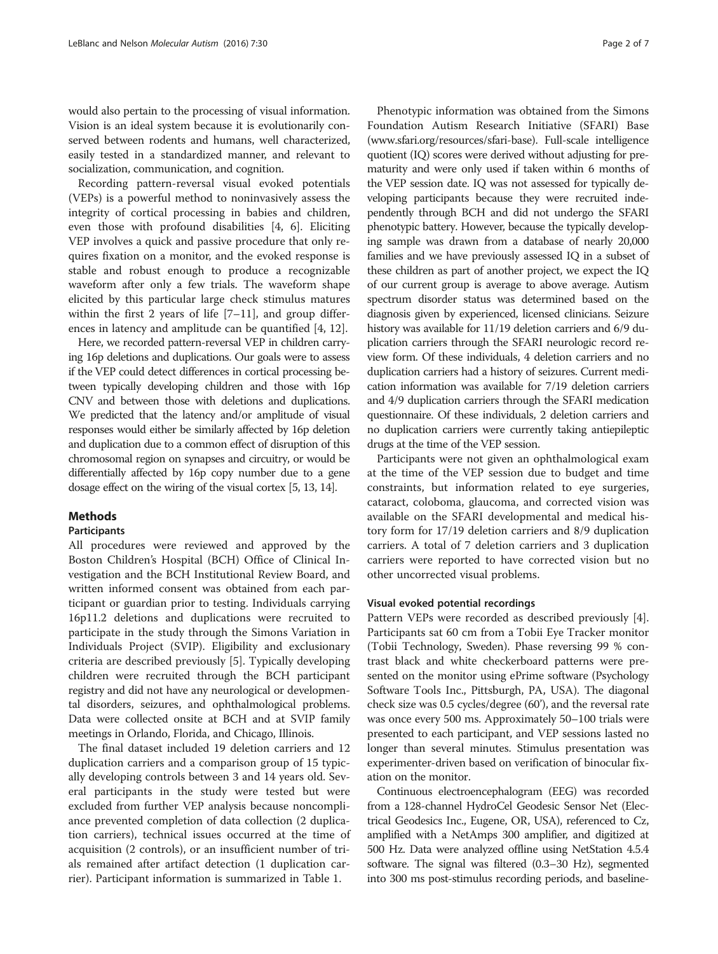would also pertain to the processing of visual information. Vision is an ideal system because it is evolutionarily conserved between rodents and humans, well characterized, easily tested in a standardized manner, and relevant to socialization, communication, and cognition.

Recording pattern-reversal visual evoked potentials (VEPs) is a powerful method to noninvasively assess the integrity of cortical processing in babies and children, even those with profound disabilities [\[4](#page-6-0), [6\]](#page-6-0). Eliciting VEP involves a quick and passive procedure that only requires fixation on a monitor, and the evoked response is stable and robust enough to produce a recognizable waveform after only a few trials. The waveform shape elicited by this particular large check stimulus matures within the first 2 years of life  $[7-11]$  $[7-11]$  $[7-11]$  $[7-11]$  $[7-11]$ , and group differences in latency and amplitude can be quantified [\[4](#page-6-0), [12](#page-6-0)].

Here, we recorded pattern-reversal VEP in children carrying 16p deletions and duplications. Our goals were to assess if the VEP could detect differences in cortical processing between typically developing children and those with 16p CNV and between those with deletions and duplications. We predicted that the latency and/or amplitude of visual responses would either be similarly affected by 16p deletion and duplication due to a common effect of disruption of this chromosomal region on synapses and circuitry, or would be differentially affected by 16p copy number due to a gene dosage effect on the wiring of the visual cortex [\[5](#page-6-0), [13](#page-6-0), [14\]](#page-6-0).

## **Methods**

## Participants

All procedures were reviewed and approved by the Boston Children's Hospital (BCH) Office of Clinical Investigation and the BCH Institutional Review Board, and written informed consent was obtained from each participant or guardian prior to testing. Individuals carrying 16p11.2 deletions and duplications were recruited to participate in the study through the Simons Variation in Individuals Project (SVIP). Eligibility and exclusionary criteria are described previously [\[5](#page-6-0)]. Typically developing children were recruited through the BCH participant registry and did not have any neurological or developmental disorders, seizures, and ophthalmological problems. Data were collected onsite at BCH and at SVIP family meetings in Orlando, Florida, and Chicago, Illinois.

The final dataset included 19 deletion carriers and 12 duplication carriers and a comparison group of 15 typically developing controls between 3 and 14 years old. Several participants in the study were tested but were excluded from further VEP analysis because noncompliance prevented completion of data collection (2 duplication carriers), technical issues occurred at the time of acquisition (2 controls), or an insufficient number of trials remained after artifact detection (1 duplication carrier). Participant information is summarized in Table [1](#page-2-0).

Phenotypic information was obtained from the Simons Foundation Autism Research Initiative (SFARI) Base ([www.sfari.org/resources/sfari-base](http://www.sfari.org/resources/sfari-base)). Full-scale intelligence quotient (IQ) scores were derived without adjusting for prematurity and were only used if taken within 6 months of the VEP session date. IQ was not assessed for typically developing participants because they were recruited independently through BCH and did not undergo the SFARI phenotypic battery. However, because the typically developing sample was drawn from a database of nearly 20,000 families and we have previously assessed IQ in a subset of these children as part of another project, we expect the IQ of our current group is average to above average. Autism spectrum disorder status was determined based on the diagnosis given by experienced, licensed clinicians. Seizure history was available for 11/19 deletion carriers and 6/9 duplication carriers through the SFARI neurologic record review form. Of these individuals, 4 deletion carriers and no duplication carriers had a history of seizures. Current medication information was available for 7/19 deletion carriers and 4/9 duplication carriers through the SFARI medication questionnaire. Of these individuals, 2 deletion carriers and no duplication carriers were currently taking antiepileptic drugs at the time of the VEP session.

Participants were not given an ophthalmological exam at the time of the VEP session due to budget and time constraints, but information related to eye surgeries, cataract, coloboma, glaucoma, and corrected vision was available on the SFARI developmental and medical history form for 17/19 deletion carriers and 8/9 duplication carriers. A total of 7 deletion carriers and 3 duplication carriers were reported to have corrected vision but no other uncorrected visual problems.

## Visual evoked potential recordings

Pattern VEPs were recorded as described previously [\[4](#page-6-0)]. Participants sat 60 cm from a Tobii Eye Tracker monitor (Tobii Technology, Sweden). Phase reversing 99 % contrast black and white checkerboard patterns were presented on the monitor using ePrime software (Psychology Software Tools Inc., Pittsburgh, PA, USA). The diagonal check size was 0.5 cycles/degree (60'), and the reversal rate was once every 500 ms. Approximately 50–100 trials were presented to each participant, and VEP sessions lasted no longer than several minutes. Stimulus presentation was experimenter-driven based on verification of binocular fixation on the monitor.

Continuous electroencephalogram (EEG) was recorded from a 128-channel HydroCel Geodesic Sensor Net (Electrical Geodesics Inc., Eugene, OR, USA), referenced to Cz, amplified with a NetAmps 300 amplifier, and digitized at 500 Hz. Data were analyzed offline using NetStation 4.5.4 software. The signal was filtered (0.3–30 Hz), segmented into 300 ms post-stimulus recording periods, and baseline-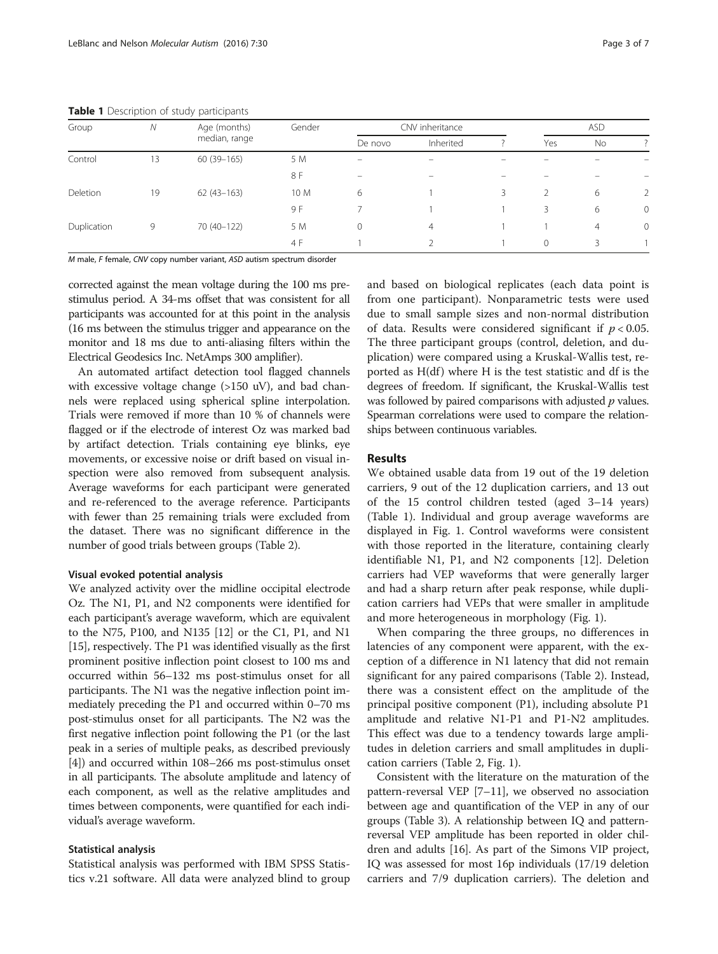| Group       | Ν  | Age (months)  | Gender | CNV inheritance |                          |   | <b>ASD</b>   |                |                          |
|-------------|----|---------------|--------|-----------------|--------------------------|---|--------------|----------------|--------------------------|
|             |    | median, range |        | De novo         | Inherited                |   | Yes          | No             |                          |
| Control     | 13 | $60(39-165)$  | 5 M    | -               | $\overline{\phantom{0}}$ |   |              |                |                          |
|             |    |               | 8 F    | $=$             | $\overline{\phantom{a}}$ |   |              |                | $\overline{\phantom{0}}$ |
| Deletion    | 19 | $62(43-163)$  | 10 M   | 6               |                          | 3 | 2            | 6              | $\overline{2}$           |
|             |    |               | 9 F    |                 |                          |   | 3            | 6              | $\overline{0}$           |
| Duplication | 9  | 70 (40-122)   | 5 M    | 0               | $\overline{4}$           |   |              | $\overline{4}$ | $\overline{0}$           |
|             |    |               | 4 F    |                 |                          |   | $\mathbf{0}$ | 3              |                          |

<span id="page-2-0"></span>Table 1 Description of study participants

M male, F female, CNV copy number variant, ASD autism spectrum disorder

corrected against the mean voltage during the 100 ms prestimulus period. A 34-ms offset that was consistent for all participants was accounted for at this point in the analysis (16 ms between the stimulus trigger and appearance on the monitor and 18 ms due to anti-aliasing filters within the Electrical Geodesics Inc. NetAmps 300 amplifier).

An automated artifact detection tool flagged channels with excessive voltage change (>150 uV), and bad channels were replaced using spherical spline interpolation. Trials were removed if more than 10 % of channels were flagged or if the electrode of interest Oz was marked bad by artifact detection. Trials containing eye blinks, eye movements, or excessive noise or drift based on visual inspection were also removed from subsequent analysis. Average waveforms for each participant were generated and re-referenced to the average reference. Participants with fewer than 25 remaining trials were excluded from the dataset. There was no significant difference in the number of good trials between groups (Table [2](#page-3-0)).

### Visual evoked potential analysis

We analyzed activity over the midline occipital electrode Oz. The N1, P1, and N2 components were identified for each participant's average waveform, which are equivalent to the N75, P100, and N135 [\[12\]](#page-6-0) or the C1, P1, and N1 [[15](#page-6-0)], respectively. The P1 was identified visually as the first prominent positive inflection point closest to 100 ms and occurred within 56–132 ms post-stimulus onset for all participants. The N1 was the negative inflection point immediately preceding the P1 and occurred within 0–70 ms post-stimulus onset for all participants. The N2 was the first negative inflection point following the P1 (or the last peak in a series of multiple peaks, as described previously [[4\]](#page-6-0)) and occurred within 108–266 ms post-stimulus onset in all participants. The absolute amplitude and latency of each component, as well as the relative amplitudes and times between components, were quantified for each individual's average waveform.

## Statistical analysis

Statistical analysis was performed with IBM SPSS Statistics v.21 software. All data were analyzed blind to group and based on biological replicates (each data point is from one participant). Nonparametric tests were used due to small sample sizes and non-normal distribution of data. Results were considered significant if  $p < 0.05$ . The three participant groups (control, deletion, and duplication) were compared using a Kruskal-Wallis test, reported as  $H(df)$  where  $H$  is the test statistic and df is the degrees of freedom. If significant, the Kruskal-Wallis test was followed by paired comparisons with adjusted  $p$  values. Spearman correlations were used to compare the relationships between continuous variables.

## Results

We obtained usable data from 19 out of the 19 deletion carriers, 9 out of the 12 duplication carriers, and 13 out of the 15 control children tested (aged 3–14 years) (Table 1). Individual and group average waveforms are displayed in Fig. [1.](#page-4-0) Control waveforms were consistent with those reported in the literature, containing clearly identifiable N1, P1, and N2 components [\[12](#page-6-0)]. Deletion carriers had VEP waveforms that were generally larger and had a sharp return after peak response, while duplication carriers had VEPs that were smaller in amplitude and more heterogeneous in morphology (Fig. [1\)](#page-4-0).

When comparing the three groups, no differences in latencies of any component were apparent, with the exception of a difference in N1 latency that did not remain significant for any paired comparisons (Table [2](#page-3-0)). Instead, there was a consistent effect on the amplitude of the principal positive component (P1), including absolute P1 amplitude and relative N1-P1 and P1-N2 amplitudes. This effect was due to a tendency towards large amplitudes in deletion carriers and small amplitudes in duplication carriers (Table [2](#page-3-0), Fig. [1\)](#page-4-0).

Consistent with the literature on the maturation of the pattern-reversal VEP [\[7](#page-6-0)–[11\]](#page-6-0), we observed no association between age and quantification of the VEP in any of our groups (Table [3](#page-4-0)). A relationship between IQ and patternreversal VEP amplitude has been reported in older children and adults [\[16\]](#page-6-0). As part of the Simons VIP project, IQ was assessed for most 16p individuals (17/19 deletion carriers and 7/9 duplication carriers). The deletion and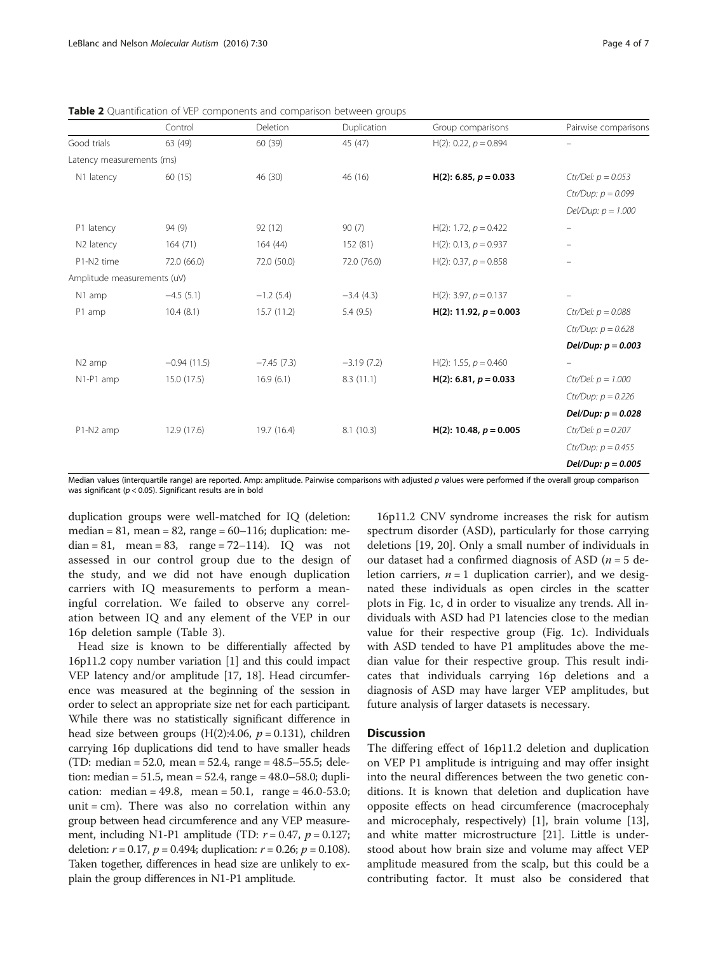|                             | Control       | Deletion     | Duplication  | Group comparisons        | Pairwise comparisons     |
|-----------------------------|---------------|--------------|--------------|--------------------------|--------------------------|
| Good trials                 | 63 (49)       | 60 (39)      | 45 (47)      | H(2): 0.22, $p = 0.894$  |                          |
| Latency measurements (ms)   |               |              |              |                          |                          |
| N1 latency                  | 60 (15)       | 46 (30)      | 46 (16)      | H(2): 6.85, $p = 0.033$  | $Ctrl/Del: p = 0.053$    |
|                             |               |              |              |                          | Ctr/Dup: $p = 0.099$     |
|                             |               |              |              |                          | $Del/Dup: p = 1.000$     |
| P1 latency                  | 94(9)         | 92 (12)      | 90(7)        | H(2): 1.72, $p = 0.422$  | $\qquad \qquad -$        |
| N <sub>2</sub> latency      | 164(71)       | 164(44)      | 152 (81)     | $H(2): 0.13, p = 0.937$  | $\qquad \qquad -$        |
| P1-N2 time                  | 72.0 (66.0)   | 72.0 (50.0)  | 72.0 (76.0)  | H(2): 0.37, $p = 0.858$  | $\overline{\phantom{0}}$ |
| Amplitude measurements (uV) |               |              |              |                          |                          |
| N1 amp                      | $-4.5(5.1)$   | $-1.2(5.4)$  | $-3.4(4.3)$  | H(2): 3.97, $p = 0.137$  |                          |
| P1 amp                      | 10.4(8.1)     | 15.7(11.2)   | 5.4(9.5)     | H(2): 11.92, $p = 0.003$ | $Ctrl/Del: p = 0.088$    |
|                             |               |              |              |                          | Ctr/Dup: $p = 0.628$     |
|                             |               |              |              |                          | Del/Dup: $p = 0.003$     |
| N <sub>2</sub> amp          | $-0.94(11.5)$ | $-7.45(7.3)$ | $-3.19(7.2)$ | H(2): 1.55, $p = 0.460$  | $\qquad \qquad -$        |
| N1-P1 amp                   | 15.0(17.5)    | 16.9(6.1)    | 8.3(11.1)    | H(2): 6.81, $p = 0.033$  | $Ctrl/Del: p = 1.000$    |
|                             |               |              |              |                          | $Ctr/Dup: p = 0.226$     |
|                             |               |              |              |                          | Del/Dup: $p = 0.028$     |
| P1-N2 amp                   | 12.9 (17.6)   | 19.7 (16.4)  | 8.1(10.3)    | H(2): 10.48, $p = 0.005$ | $Ctrl/Del: p = 0.207$    |
|                             |               |              |              |                          | Ctr/Dup: $p = 0.455$     |
|                             |               |              |              |                          | Del/Dup: $p = 0.005$     |

<span id="page-3-0"></span>Table 2 Quantification of VEP components and comparison between groups

Median values (interquartile range) are reported. Amp: amplitude. Pairwise comparisons with adjusted p values were performed if the overall group comparison was significant ( $p < 0.05$ ). Significant results are in bold

duplication groups were well-matched for IQ (deletion: median = 81, mean = 82, range =  $60-116$ ; duplication: me $dian = 81$ , mean = 83, range = 72–114). IQ was not assessed in our control group due to the design of the study, and we did not have enough duplication carriers with IQ measurements to perform a meaningful correlation. We failed to observe any correlation between IQ and any element of the VEP in our 16p deletion sample (Table [3](#page-4-0)).

Head size is known to be differentially affected by 16p11.2 copy number variation [\[1](#page-5-0)] and this could impact VEP latency and/or amplitude [[17](#page-6-0), [18](#page-6-0)]. Head circumference was measured at the beginning of the session in order to select an appropriate size net for each participant. While there was no statistically significant difference in head size between groups  $(H(2):4.06, p = 0.131)$ , children carrying 16p duplications did tend to have smaller heads (TD: median = 52.0, mean = 52.4, range = 48.5–55.5; deletion: median = 51.5, mean = 52.4, range =  $48.0 - 58.0$ ; duplication: median = 49.8, mean = 50.1, range =  $46.0 - 53.0$ ; unit =  $cm$ ). There was also no correlation within any group between head circumference and any VEP measurement, including N1-P1 amplitude (TD:  $r = 0.47$ ,  $p = 0.127$ ; deletion:  $r = 0.17$ ,  $p = 0.494$ ; duplication:  $r = 0.26$ ;  $p = 0.108$ ). Taken together, differences in head size are unlikely to explain the group differences in N1-P1 amplitude.

16p11.2 CNV syndrome increases the risk for autism spectrum disorder (ASD), particularly for those carrying deletions [[19, 20\]](#page-6-0). Only a small number of individuals in our dataset had a confirmed diagnosis of ASD ( $n = 5$  deletion carriers,  $n = 1$  duplication carrier), and we designated these individuals as open circles in the scatter plots in Fig. [1c, d](#page-4-0) in order to visualize any trends. All individuals with ASD had P1 latencies close to the median value for their respective group (Fig. [1c\)](#page-4-0). Individuals with ASD tended to have P1 amplitudes above the median value for their respective group. This result indicates that individuals carrying 16p deletions and a diagnosis of ASD may have larger VEP amplitudes, but future analysis of larger datasets is necessary.

## **Discussion**

The differing effect of 16p11.2 deletion and duplication on VEP P1 amplitude is intriguing and may offer insight into the neural differences between the two genetic conditions. It is known that deletion and duplication have opposite effects on head circumference (macrocephaly and microcephaly, respectively) [[1\]](#page-5-0), brain volume [\[13](#page-6-0)], and white matter microstructure [\[21](#page-6-0)]. Little is understood about how brain size and volume may affect VEP amplitude measured from the scalp, but this could be a contributing factor. It must also be considered that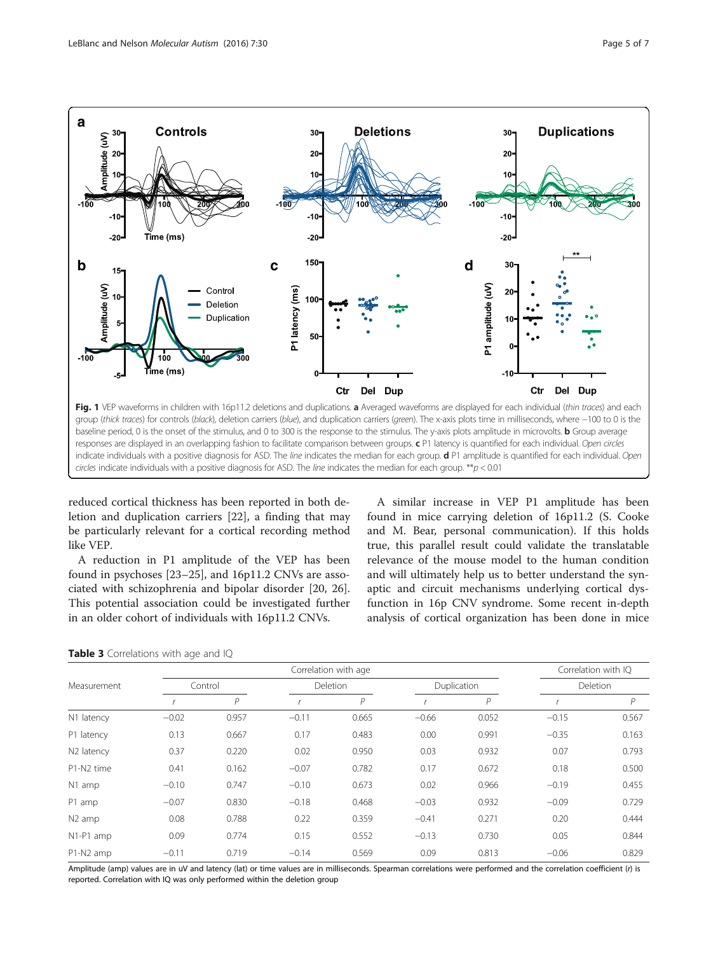<span id="page-4-0"></span>

baseline period, 0 is the onset of the stimulus, and 0 to 300 is the response to the stimulus. The y-axis plots amplitude in microvolts. **b** Group average responses are displayed in an overlapping fashion to facilitate comparison between groups. c P1 latency is quantified for each individual. Open circles indicate individuals with a positive diagnosis for ASD. The line indicates the median for each group. d P1 amplitude is quantified for each individual. Open circles indicate individuals with a positive diagnosis for ASD. The line indicates the median for each group.  $**p < 0.01$ 

reduced cortical thickness has been reported in both deletion and duplication carriers [[22\]](#page-6-0), a finding that may be particularly relevant for a cortical recording method like VEP.

A reduction in P1 amplitude of the VEP has been found in psychoses [[23](#page-6-0)–[25](#page-6-0)], and 16p11.2 CNVs are associated with schizophrenia and bipolar disorder [\[20](#page-6-0), [26](#page-6-0)]. This potential association could be investigated further in an older cohort of individuals with 16p11.2 CNVs.

A similar increase in VEP P1 amplitude has been found in mice carrying deletion of 16p11.2 (S. Cooke and M. Bear, personal communication). If this holds true, this parallel result could validate the translatable relevance of the mouse model to the human condition and will ultimately help us to better understand the synaptic and circuit mechanisms underlying cortical dysfunction in 16p CNV syndrome. Some recent in-depth analysis of cortical organization has been done in mice

|  |  | Table 3 Correlations with age and IQ |  |  |  |  |
|--|--|--------------------------------------|--|--|--|--|
|--|--|--------------------------------------|--|--|--|--|

|                    |         |       |                 | Correlation with age |             |       | Correlation with IQ |       |  |  |
|--------------------|---------|-------|-----------------|----------------------|-------------|-------|---------------------|-------|--|--|
| Measurement        | Control |       | <b>Deletion</b> |                      | Duplication |       | <b>Deletion</b>     |       |  |  |
|                    |         | Р     |                 | P                    |             | P     |                     | P     |  |  |
| N1 latency         | $-0.02$ | 0.957 | $-0.11$         | 0.665                | $-0.66$     | 0.052 | $-0.15$             | 0.567 |  |  |
| P1 latency         | 0.13    | 0.667 | 0.17            | 0.483                | 0.00        | 0.991 | $-0.35$             | 0.163 |  |  |
| N2 latency         | 0.37    | 0.220 | 0.02            | 0.950                | 0.03        | 0.932 | 0.07                | 0.793 |  |  |
| P1-N2 time         | 0.41    | 0.162 | $-0.07$         | 0.782                | 0.17        | 0.672 | 0.18                | 0.500 |  |  |
| N1 amp             | $-0.10$ | 0.747 | $-0.10$         | 0.673                | 0.02        | 0.966 | $-0.19$             | 0.455 |  |  |
| P1 amp             | $-0.07$ | 0.830 | $-0.18$         | 0.468                | $-0.03$     | 0.932 | $-0.09$             | 0.729 |  |  |
| N <sub>2</sub> amp | 0.08    | 0.788 | 0.22            | 0.359                | $-0.41$     | 0.271 | 0.20                | 0.444 |  |  |
| N1-P1 amp          | 0.09    | 0.774 | 0.15            | 0.552                | $-0.13$     | 0.730 | 0.05                | 0.844 |  |  |
| P1-N2 amp          | $-0.11$ | 0.719 | $-0.14$         | 0.569                | 0.09        | 0.813 | $-0.06$             | 0.829 |  |  |

Amplitude (amp) values are in uV and latency (lat) or time values are in milliseconds. Spearman correlations were performed and the correlation coefficient (r) is reported. Correlation with IQ was only performed within the deletion group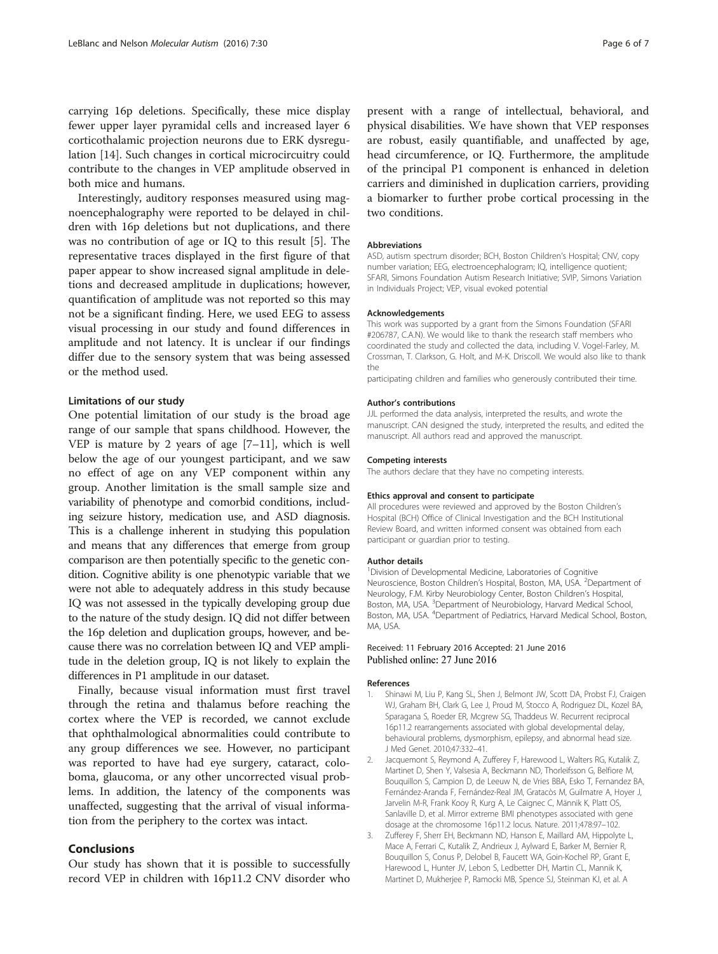<span id="page-5-0"></span>carrying 16p deletions. Specifically, these mice display fewer upper layer pyramidal cells and increased layer 6 corticothalamic projection neurons due to ERK dysregulation [\[14\]](#page-6-0). Such changes in cortical microcircuitry could contribute to the changes in VEP amplitude observed in both mice and humans.

Interestingly, auditory responses measured using magnoencephalography were reported to be delayed in children with 16p deletions but not duplications, and there was no contribution of age or IQ to this result [[5](#page-6-0)]. The representative traces displayed in the first figure of that paper appear to show increased signal amplitude in deletions and decreased amplitude in duplications; however, quantification of amplitude was not reported so this may not be a significant finding. Here, we used EEG to assess visual processing in our study and found differences in amplitude and not latency. It is unclear if our findings differ due to the sensory system that was being assessed or the method used.

## Limitations of our study

One potential limitation of our study is the broad age range of our sample that spans childhood. However, the VEP is mature by 2 years of age [\[7](#page-6-0)–[11](#page-6-0)], which is well below the age of our youngest participant, and we saw no effect of age on any VEP component within any group. Another limitation is the small sample size and variability of phenotype and comorbid conditions, including seizure history, medication use, and ASD diagnosis. This is a challenge inherent in studying this population and means that any differences that emerge from group comparison are then potentially specific to the genetic condition. Cognitive ability is one phenotypic variable that we were not able to adequately address in this study because IQ was not assessed in the typically developing group due to the nature of the study design. IQ did not differ between the 16p deletion and duplication groups, however, and because there was no correlation between IQ and VEP amplitude in the deletion group, IQ is not likely to explain the differences in P1 amplitude in our dataset.

Finally, because visual information must first travel through the retina and thalamus before reaching the cortex where the VEP is recorded, we cannot exclude that ophthalmological abnormalities could contribute to any group differences we see. However, no participant was reported to have had eye surgery, cataract, coloboma, glaucoma, or any other uncorrected visual problems. In addition, the latency of the components was unaffected, suggesting that the arrival of visual information from the periphery to the cortex was intact.

## Conclusions

Our study has shown that it is possible to successfully record VEP in children with 16p11.2 CNV disorder who

present with a range of intellectual, behavioral, and physical disabilities. We have shown that VEP responses are robust, easily quantifiable, and unaffected by age, head circumference, or IQ. Furthermore, the amplitude of the principal P1 component is enhanced in deletion carriers and diminished in duplication carriers, providing a biomarker to further probe cortical processing in the two conditions.

#### Abbreviations

ASD, autism spectrum disorder; BCH, Boston Children's Hospital; CNV, copy number variation; EEG, electroencephalogram; IQ, intelligence quotient; SFARI, Simons Foundation Autism Research Initiative; SVIP, Simons Variation in Individuals Project; VEP, visual evoked potential

#### Acknowledgements

This work was supported by a grant from the Simons Foundation (SFARI #206787, C.A.N). We would like to thank the research staff members who coordinated the study and collected the data, including V. Vogel-Farley, M. Crossman, T. Clarkson, G. Holt, and M-K. Driscoll. We would also like to thank the

participating children and families who generously contributed their time.

#### Author's contributions

JJL performed the data analysis, interpreted the results, and wrote the manuscript. CAN designed the study, interpreted the results, and edited the manuscript. All authors read and approved the manuscript.

#### Competing interests

The authors declare that they have no competing interests.

## Ethics approval and consent to participate

All procedures were reviewed and approved by the Boston Children's Hospital (BCH) Office of Clinical Investigation and the BCH Institutional Review Board, and written informed consent was obtained from each participant or guardian prior to testing.

#### Author details

<sup>1</sup> Division of Developmental Medicine, Laboratories of Cognitive Neuroscience, Boston Children's Hospital, Boston, MA, USA. <sup>2</sup> Department of Neurology, F.M. Kirby Neurobiology Center, Boston Children's Hospital, Boston, MA, USA. <sup>3</sup>Department of Neurobiology, Harvard Medical School Boston, MA, USA. <sup>4</sup>Department of Pediatrics, Harvard Medical School, Boston MA, USA.

## Received: 11 February 2016 Accepted: 21 June 2016 Published online: 27 June 2016

### References

- 1. Shinawi M, Liu P, Kang SL, Shen J, Belmont JW, Scott DA, Probst FJ, Craigen WJ, Graham BH, Clark G, Lee J, Proud M, Stocco A, Rodriguez DL, Kozel BA, Sparagana S, Roeder ER, Mcgrew SG, Thaddeus W. Recurrent reciprocal 16p11.2 rearrangements associated with global developmental delay, behavioural problems, dysmorphism, epilepsy, and abnormal head size. J Med Genet. 2010;47:332–41.
- 2. Jacquemont S, Reymond A, Zufferey F, Harewood L, Walters RG, Kutalik Z, Martinet D, Shen Y, Valsesia A, Beckmann ND, Thorleifsson G, Belfiore M, Bouquillon S, Campion D, de Leeuw N, de Vries BBA, Esko T, Fernandez BA, Fernández-Aranda F, Fernández-Real JM, Gratacòs M, Guilmatre A, Hoyer J, Jarvelin M-R, Frank Kooy R, Kurg A, Le Caignec C, Männik K, Platt OS, Sanlaville D, et al. Mirror extreme BMI phenotypes associated with gene dosage at the chromosome 16p11.2 locus. Nature. 2011;478:97–102.
- 3. Zufferey F, Sherr EH, Beckmann ND, Hanson E, Maillard AM, Hippolyte L, Mace A, Ferrari C, Kutalik Z, Andrieux J, Aylward E, Barker M, Bernier R, Bouquillon S, Conus P, Delobel B, Faucett WA, Goin-Kochel RP, Grant E, Harewood L, Hunter JV, Lebon S, Ledbetter DH, Martin CL, Mannik K, Martinet D, Mukherjee P, Ramocki MB, Spence SJ, Steinman KJ, et al. A